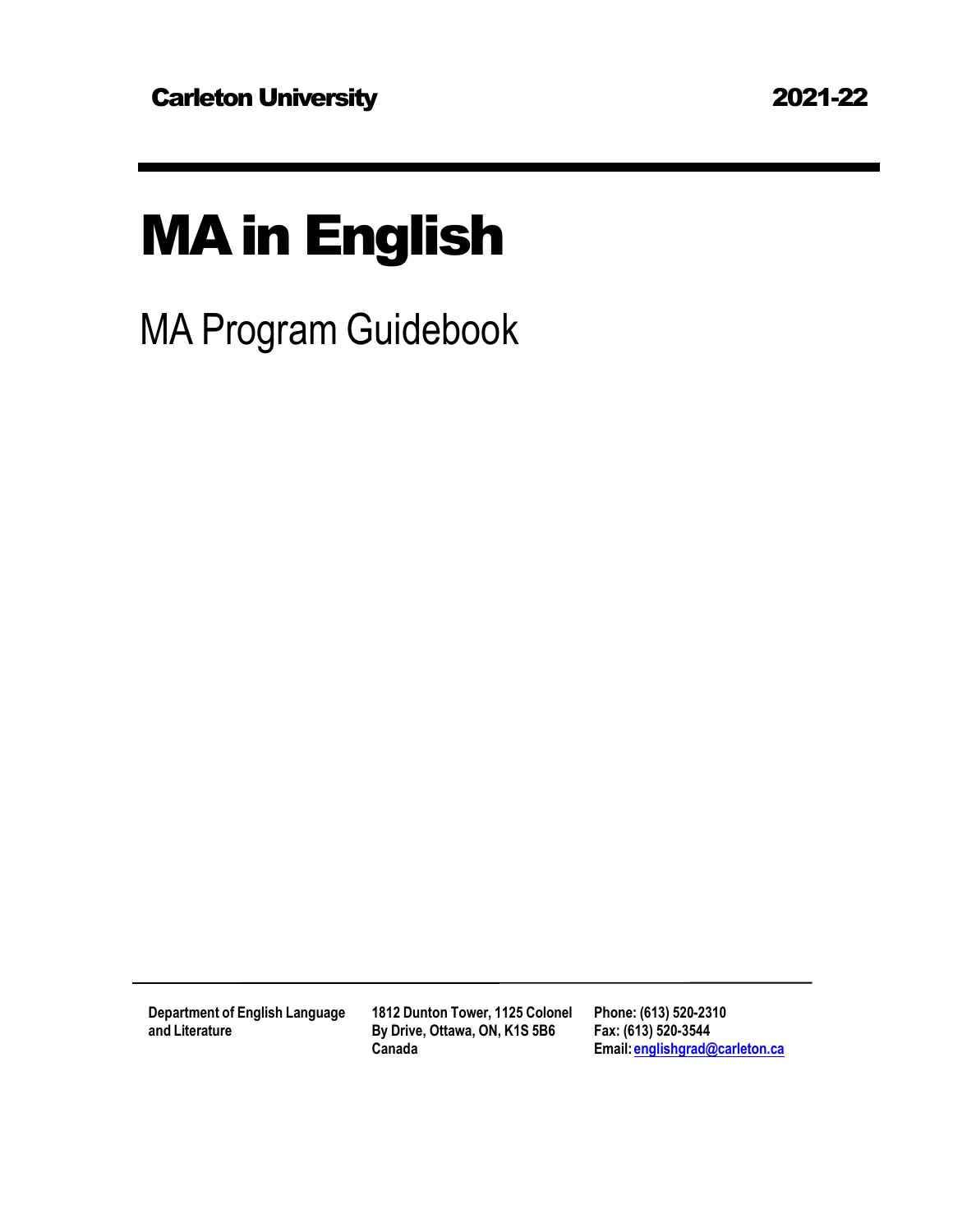# MAin English

MA Program Guidebook

**Department of English Language and Literature**

**1812 Dunton Tower, 1125 Colonel By Drive, Ottawa, ON, K1S 5B6 Canada**

**Phone: (613) 520-2310 Fax: (613) 520-3544 Email: [englishgrad@carleton.ca](mailto:english@carleton.ca)**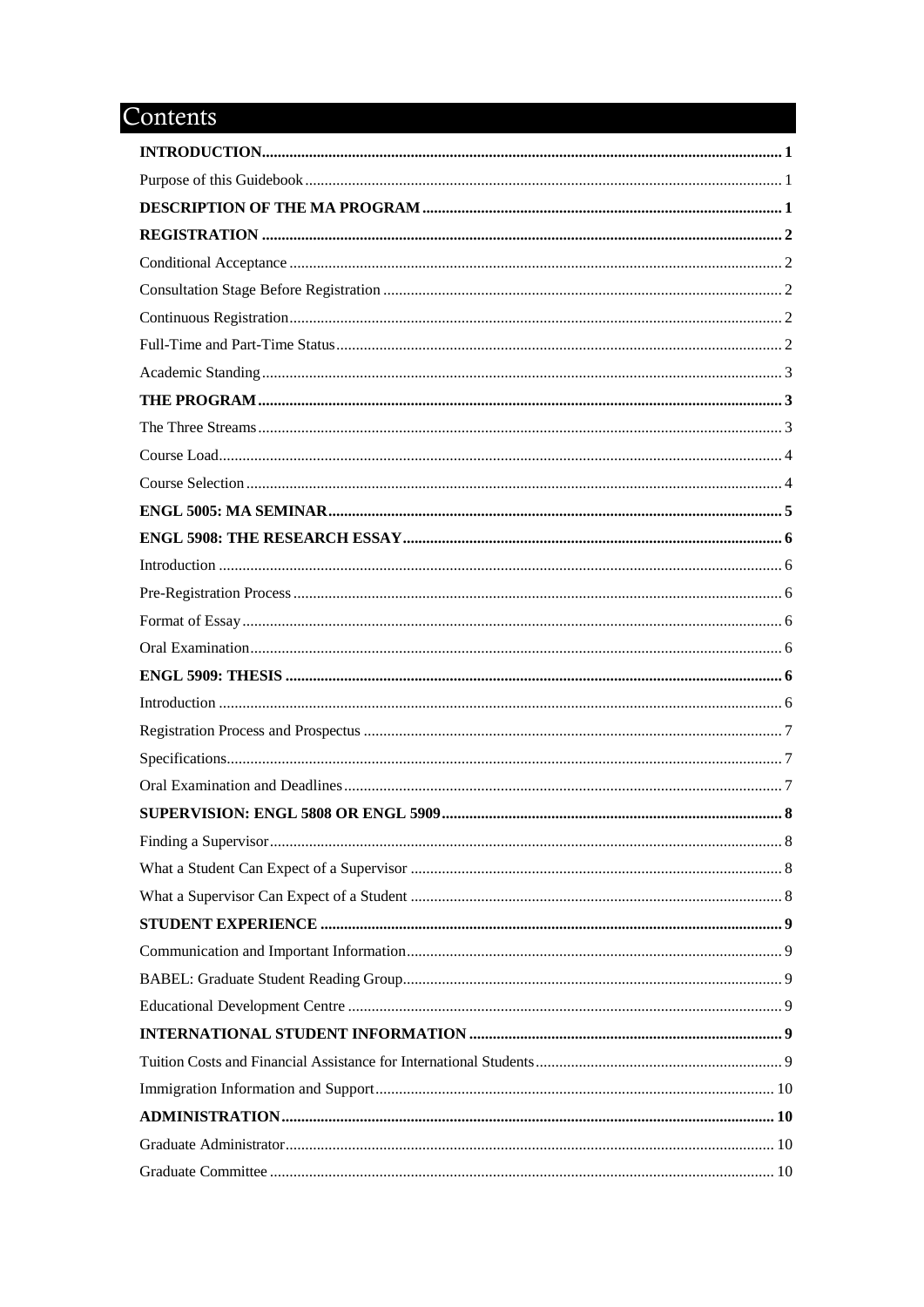# Contents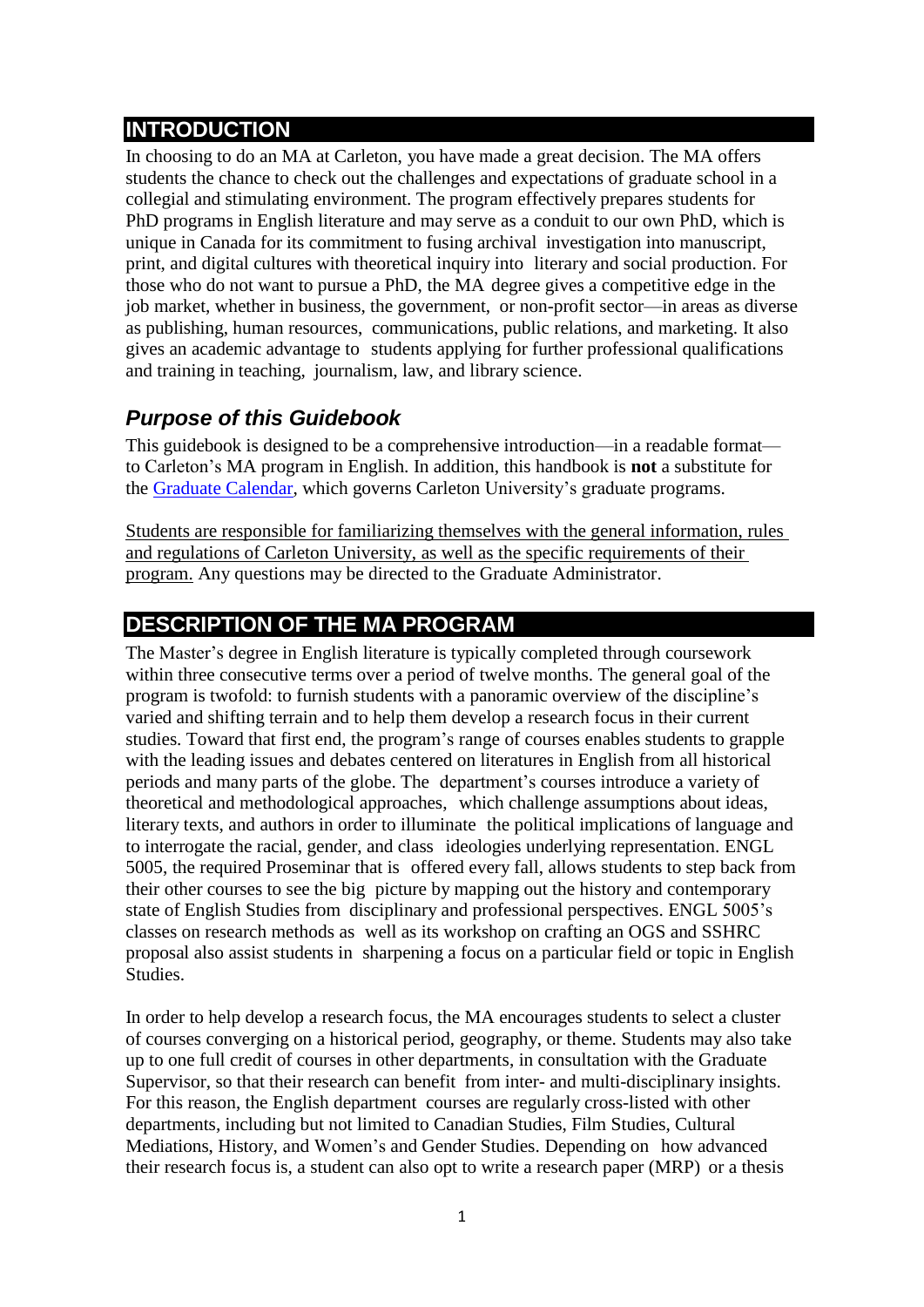## <span id="page-3-0"></span>**INTRODUCTION**

In choosing to do an MA at Carleton, you have made a great decision. The MA offers students the chance to check out the challenges and expectations of graduate school in a collegial and stimulating environment. The program effectively prepares students for PhD programs in English literature and may serve as a conduit to our own PhD, which is unique in Canada for its commitment to fusing archival investigation into manuscript, print, and digital cultures with theoretical inquiry into literary and social production. For those who do not want to pursue a PhD, the MA degree gives a competitive edge in the job market, whether in business, the government, or non-profit sector—in areas as diverse as publishing, human resources, communications, public relations, and marketing. It also gives an academic advantage to students applying for further professional qualifications and training in teaching, journalism, law, and library science.

## <span id="page-3-1"></span>*Purpose of this Guidebook*

This guidebook is designed to be a comprehensive introduction—in a readable format to Carleton's MA program in English. In addition, this handbook is **not** a substitute for the [Graduate Calendar,](https://calendar.carleton.ca/grad/) which governs Carleton University's graduate programs.

Students are responsible for familiarizing themselves with the general information, rules and regulations of Carleton University, as well as the specific requirements of their program. Any questions may be directed to the Graduate Administrator.

## <span id="page-3-2"></span>**DESCRIPTION OF THE MA PROGRAM**

The Master's degree in English literature is typically completed through coursework within three consecutive terms over a period of twelve months. The general goal of the program is twofold: to furnish students with a panoramic overview of the discipline's varied and shifting terrain and to help them develop a research focus in their current studies. Toward that first end, the program's range of courses enables students to grapple with the leading issues and debates centered on literatures in English from all historical periods and many parts of the globe. The department's courses introduce a variety of theoretical and methodological approaches, which challenge assumptions about ideas, literary texts, and authors in order to illuminate the political implications of language and to interrogate the racial, gender, and class ideologies underlying representation. ENGL 5005, the required Proseminar that is offered every fall, allows students to step back from their other courses to see the big picture by mapping out the history and contemporary state of English Studies from disciplinary and professional perspectives. ENGL 5005's classes on research methods as well as its workshop on crafting an OGS and SSHRC proposal also assist students in sharpening a focus on a particular field or topic in English Studies.

In order to help develop a research focus, the MA encourages students to select a cluster of courses converging on a historical period, geography, or theme. Students may also take up to one full credit of courses in other departments, in consultation with the Graduate Supervisor, so that their research can benefit from inter- and multi-disciplinary insights. For this reason, the English department courses are regularly cross-listed with other departments, including but not limited to Canadian Studies, Film Studies, Cultural Mediations, History, and Women's and Gender Studies. Depending on how advanced their research focus is, a student can also opt to write a research paper (MRP) or a thesis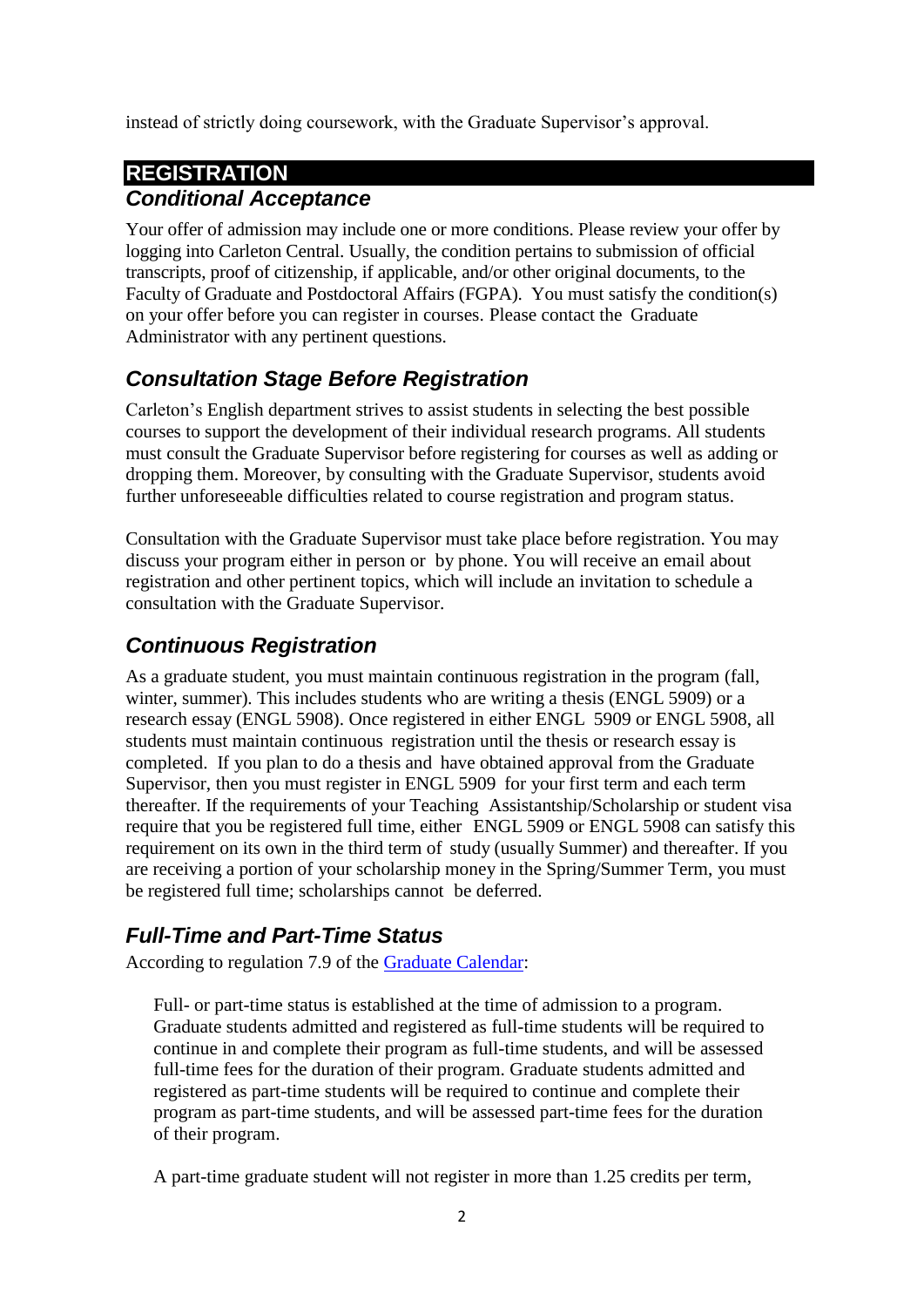instead of strictly doing coursework, with the Graduate Supervisor's approval.

## <span id="page-4-1"></span><span id="page-4-0"></span>**REGISTRATION** *Conditional Acceptance*

Your offer of admission may include one or more conditions. Please review your offer by logging into Carleton Central. Usually, the condition pertains to submission of official transcripts, proof of citizenship, if applicable, and/or other original documents, to the Faculty of Graduate and Postdoctoral Affairs (FGPA). You must satisfy the condition(s) on your offer before you can register in courses. Please contact the Graduate Administrator with any pertinent questions.

## <span id="page-4-2"></span>*Consultation Stage Before Registration*

Carleton's English department strives to assist students in selecting the best possible courses to support the development of their individual research programs. All students must consult the Graduate Supervisor before registering for courses as well as adding or dropping them. Moreover, by consulting with the Graduate Supervisor, students avoid further unforeseeable difficulties related to course registration and program status.

Consultation with the Graduate Supervisor must take place before registration. You may discuss your program either in person or by phone. You will receive an email about registration and other pertinent topics, which will include an invitation to schedule a consultation with the Graduate Supervisor.

## <span id="page-4-3"></span>*Continuous Registration*

As a graduate student, you must maintain continuous registration in the program (fall, winter, summer). This includes students who are writing a thesis (ENGL 5909) or a research essay (ENGL 5908). Once registered in either ENGL 5909 or ENGL 5908, all students must maintain continuous registration until the thesis or research essay is completed. If you plan to do a thesis and have obtained approval from the Graduate Supervisor, then you must register in ENGL 5909 for your first term and each term thereafter. If the requirements of your Teaching Assistantship/Scholarship or student visa require that you be registered full time, either ENGL 5909 or ENGL 5908 can satisfy this requirement on its own in the third term of study (usually Summer) and thereafter. If you are receiving a portion of your scholarship money in the Spring/Summer Term, you must be registered full time; scholarships cannot be deferred.

## <span id="page-4-4"></span>*Full-Time and Part-Time Status*

According to regulation 7.9 of the [Graduate Calendar:](https://calendar.carleton.ca/grad/gradregulations/)

Full- or part-time status is established at the time of admission to a program. Graduate students admitted and registered as full-time students will be required to continue in and complete their program as full-time students, and will be assessed full-time fees for the duration of their program. Graduate students admitted and registered as part-time students will be required to continue and complete their program as part-time students, and will be assessed part-time fees for the duration of their program.

A part-time graduate student will not register in more than 1.25 credits per term,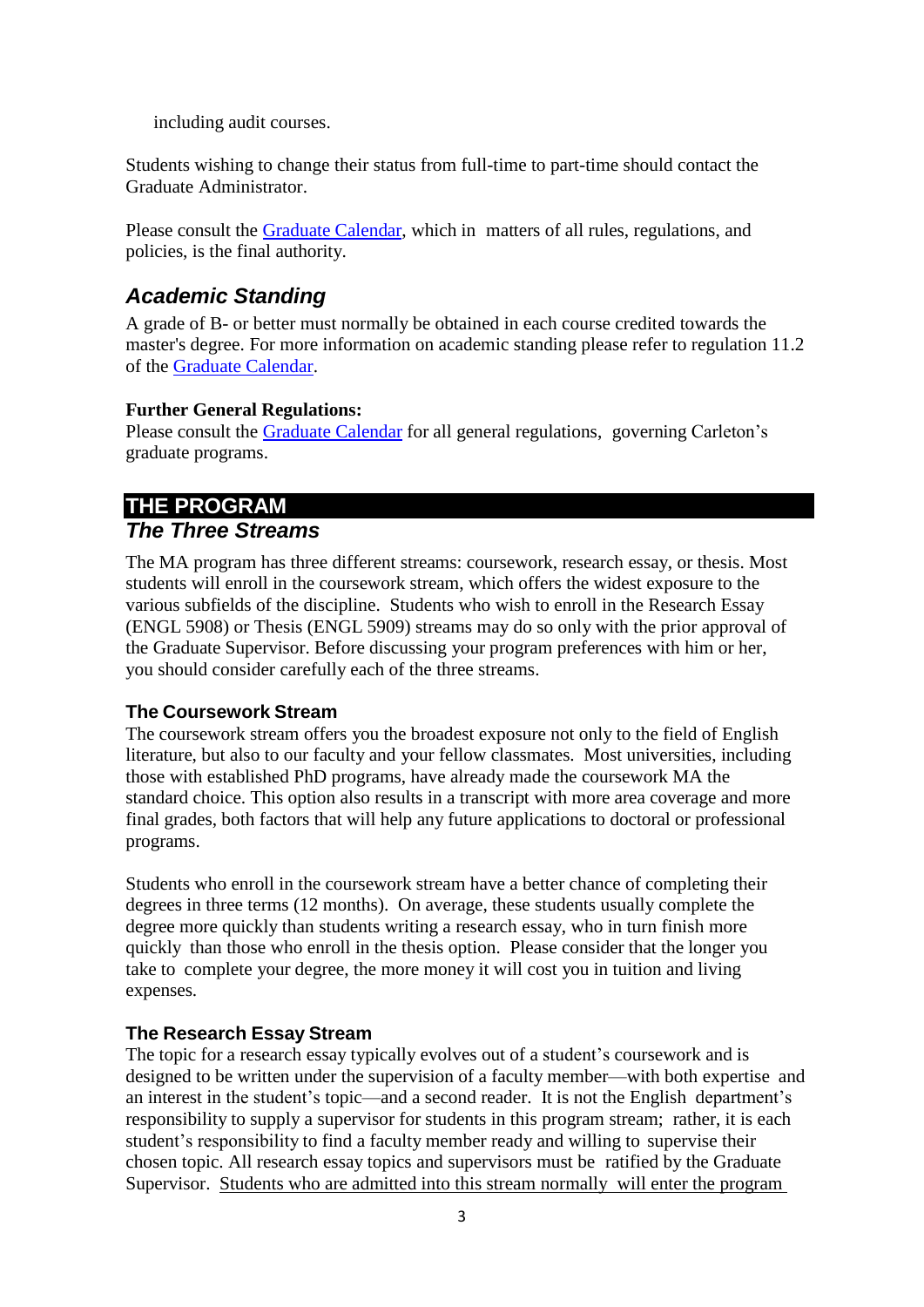including audit courses.

Students wishing to change their status from full-time to part-time should contact the Graduate Administrator.

Please consult the [Graduate](https://calendar.carleton.ca/grad/gradregulations/) Calendar, which in matters of all rules, regulations, and policies, is the final authority.

## <span id="page-5-0"></span>*Academic Standing*

A grade of B- or better must normally be obtained in each course credited towards the master's degree. For more information on academic standing please refer to regulation 11.2 of the [Graduate Calendar.](https://calendar.carleton.ca/grad/gradregulations/)

#### **Further General Regulations:**

Please consult the [Graduate Calendar](https://calendar.carleton.ca/grad/gradregulations/) for all general regulations, governing Carleton's graduate programs.

#### <span id="page-5-2"></span><span id="page-5-1"></span>**THE PROGRAM** *The Three Streams*

The MA program has three different streams: coursework, research essay, or thesis. Most students will enroll in the coursework stream, which offers the widest exposure to the various subfields of the discipline. Students who wish to enroll in the Research Essay (ENGL 5908) or Thesis (ENGL 5909) streams may do so only with the prior approval of the Graduate Supervisor. Before discussing your program preferences with him or her, you should consider carefully each of the three streams.

#### **The Coursework Stream**

The coursework stream offers you the broadest exposure not only to the field of English literature, but also to our faculty and your fellow classmates. Most universities, including those with established PhD programs, have already made the coursework MA the standard choice. This option also results in a transcript with more area coverage and more final grades, both factors that will help any future applications to doctoral or professional programs.

Students who enroll in the coursework stream have a better chance of completing their degrees in three terms (12 months). On average, these students usually complete the degree more quickly than students writing a research essay, who in turn finish more quickly than those who enroll in the thesis option. Please consider that the longer you take to complete your degree, the more money it will cost you in tuition and living expenses.

#### **The Research Essay Stream**

The topic for a research essay typically evolves out of a student's coursework and is designed to be written under the supervision of a faculty member—with both expertise and an interest in the student's topic—and a second reader. It is not the English department's responsibility to supply a supervisor for students in this program stream; rather, it is each student's responsibility to find a faculty member ready and willing to supervise their chosen topic. All research essay topics and supervisors must be ratified by the Graduate Supervisor. Students who are admitted into this stream normally will enter the program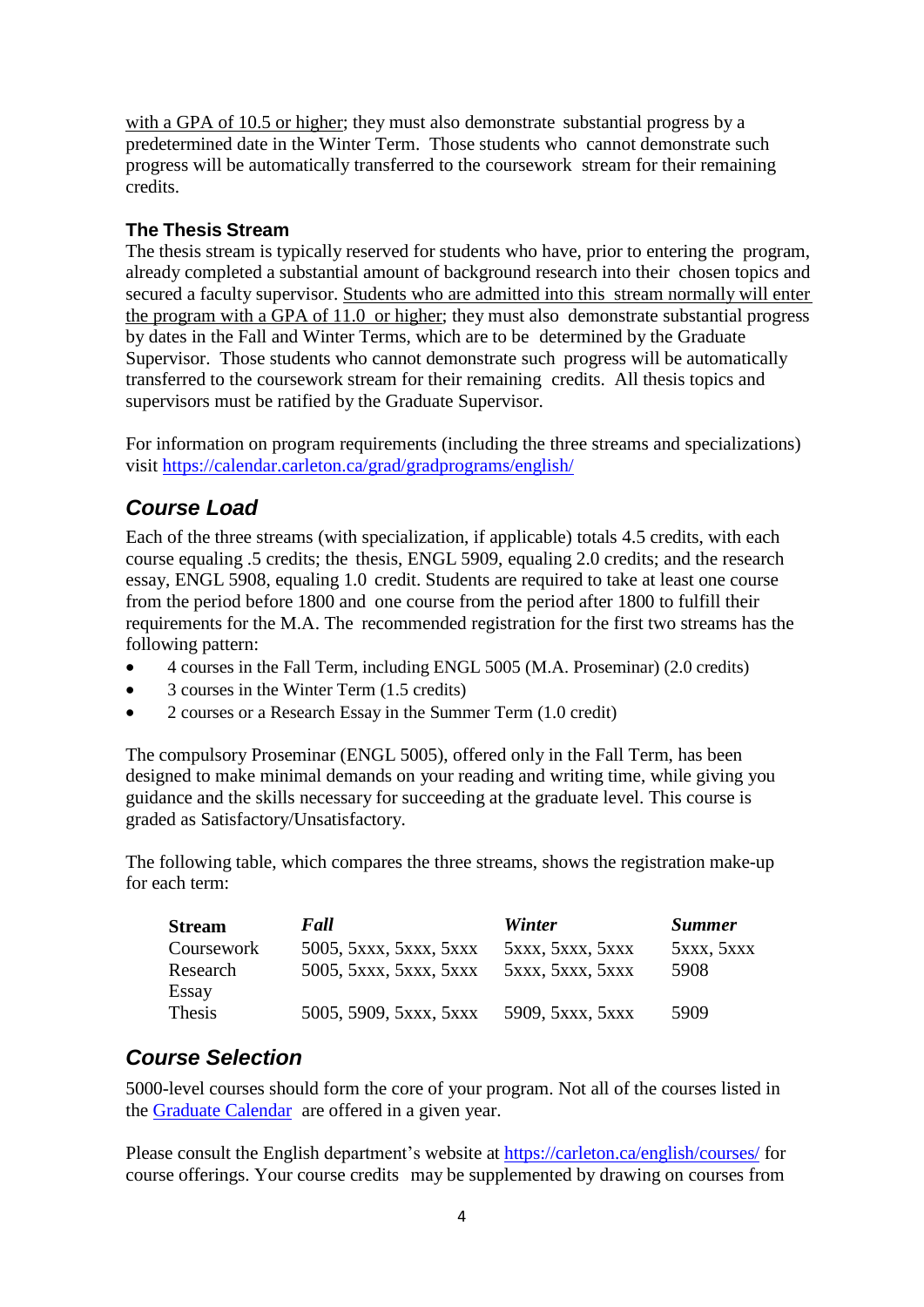with a GPA of 10.5 or higher; they must also demonstrate substantial progress by a predetermined date in the Winter Term. Those students who cannot demonstrate such progress will be automatically transferred to the coursework stream for their remaining credits.

#### **The Thesis Stream**

The thesis stream is typically reserved for students who have, prior to entering the program, already completed a substantial amount of background research into their chosen topics and secured a faculty supervisor. Students who are admitted into this stream normally will enter the program with a GPA of 11.0 or higher; they must also demonstrate substantial progress by dates in the Fall and Winter Terms, which are to be determined by the Graduate Supervisor. Those students who cannot demonstrate such progress will be automatically transferred to the coursework stream for their remaining credits. All thesis topics and supervisors must be ratified by the Graduate Supervisor.

For information on program requirements (including the three streams and specializations) visit <https://calendar.carleton.ca/grad/gradprograms/english/>

## <span id="page-6-0"></span>*Course Load*

Each of the three streams (with specialization, if applicable) totals 4.5 credits, with each course equaling .5 credits; the thesis, ENGL 5909, equaling 2.0 credits; and the research essay, ENGL 5908, equaling 1.0 credit. Students are required to take at least one course from the period before 1800 and one course from the period after 1800 to fulfill their requirements for the M.A. The recommended registration for the first two streams has the following pattern:

- 4 courses in the Fall Term, including ENGL 5005 (M.A. Proseminar) (2.0 credits)
- 3 courses in the Winter Term (1.5 credits)
- 2 courses or a Research Essay in the Summer Term (1.0 credit)

The compulsory Proseminar (ENGL 5005), offered only in the Fall Term, has been designed to make minimal demands on your reading and writing time, while giving you guidance and the skills necessary for succeeding at the graduate level. This course is graded as Satisfactory/Unsatisfactory.

The following table, which compares the three streams, shows the registration make-up for each term:

| <b>Stream</b> | Fall                   | Winter           | <b>Summer</b> |
|---------------|------------------------|------------------|---------------|
| Coursework    | 5005, 5xxx, 5xxx, 5xxx | 5xxx, 5xxx, 5xxx | 5xxx, 5xxx    |
| Research      | 5005, 5xxx, 5xxx, 5xxx | 5xxx, 5xxx, 5xxx | 5908          |
| Essay         |                        |                  |               |
| Thesis        | 5005, 5909, 5xxx, 5xxx | 5909, 5xxx, 5xxx | 5909          |

#### <span id="page-6-1"></span>*Course Selection*

5000-level courses should form the core of your program. Not all of the courses listed in the [Graduate Calendar](https://calendar.carleton.ca/grad/courses/) are offered in a given year.

Please consult the English department's website [at](http://www.carleton.ca/cu/programs/sched_dates/) [https://carleton.ca/english/courses/](http://www.carleton.ca/cu/programs/sched_dates/) for course offerings. Your course credits may be supplemented by drawing on courses from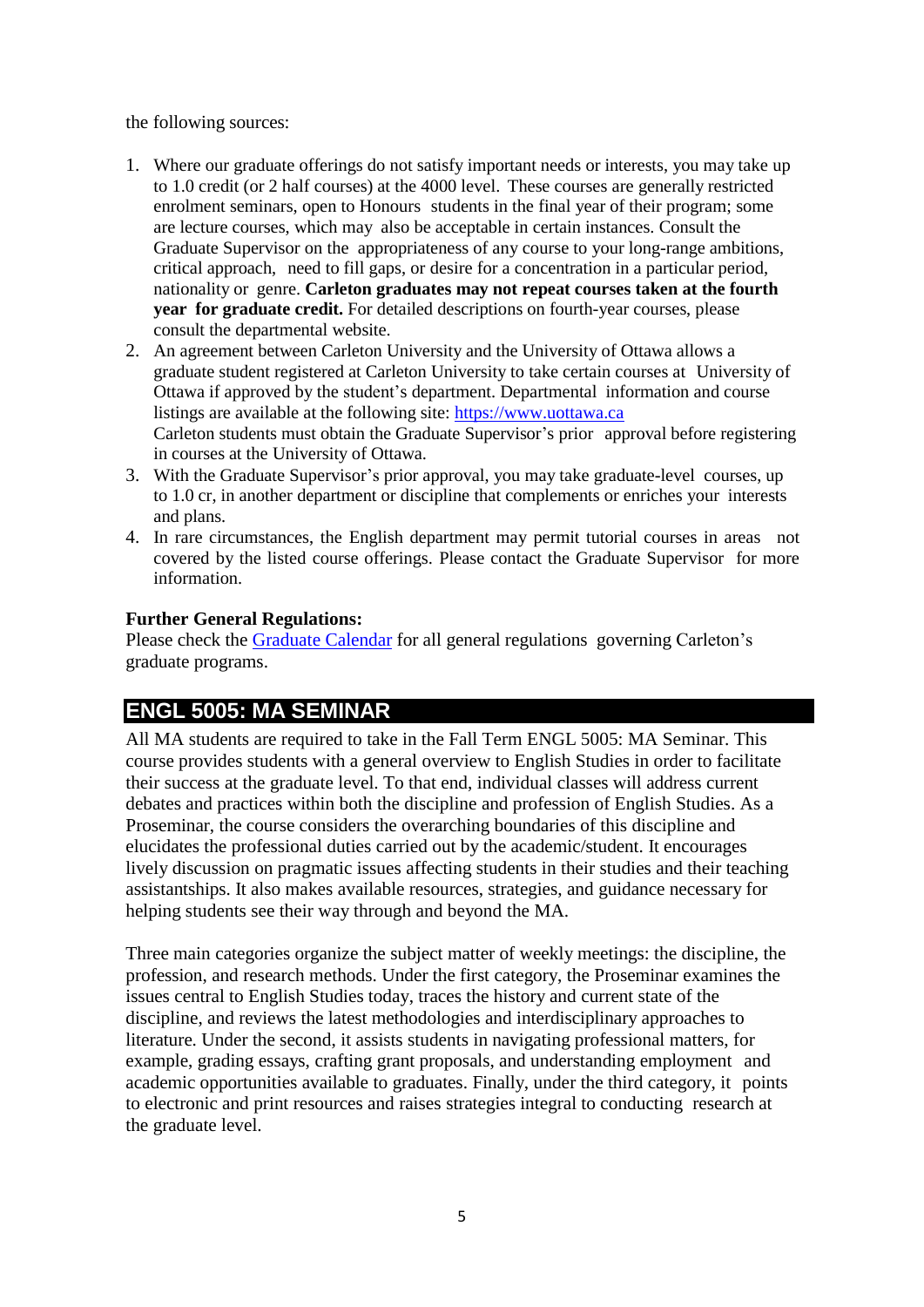the following sources:

- 1. Where our graduate offerings do not satisfy important needs or interests, you may take up to 1.0 credit (or 2 half courses) at the 4000 level. These courses are generally restricted enrolment seminars, open to Honours students in the final year of their program; some are lecture courses, which may also be acceptable in certain instances. Consult the Graduate Supervisor on the appropriateness of any course to your long-range ambitions, critical approach, need to fill gaps, or desire for a concentration in a particular period, nationality or genre. **Carleton graduates may not repeat courses taken at the fourth year for graduate credit.** For detailed descriptions on fourth-year courses, please consult the departmental website.
- 2. An agreement between Carleton University and the University of Ottawa allows a graduate student registered at Carleton University to take certain courses at University of Ottawa if approved by the student's department. Departmental information and course listings are available at the following site: [https://www.uottawa.ca](https://www.uottawa.ca/) Carleton students must obtain the Graduate Supervisor's prior approval before registering in courses at the University of Ottawa.
- 3. With the Graduate Supervisor's prior approval, you may take graduate-level courses, up to 1.0 cr, in another department or discipline that complements or enriches your interests and plans.
- 4. In rare circumstances, the English department may permit tutorial courses in areas not covered by the listed course offerings. Please contact the Graduate Supervisor for more information.

#### **Further General Regulations:**

Please check the [Graduate Calendar](https://calendar.carleton.ca/grad/gradregulations/) for all general regulations governing Carleton's graduate programs.

## <span id="page-7-0"></span>**ENGL 5005: MA SEMINAR**

All MA students are required to take in the Fall Term ENGL 5005: MA Seminar. This course provides students with a general overview to English Studies in order to facilitate their success at the graduate level. To that end, individual classes will address current debates and practices within both the discipline and profession of English Studies. As a Proseminar, the course considers the overarching boundaries of this discipline and elucidates the professional duties carried out by the academic/student. It encourages lively discussion on pragmatic issues affecting students in their studies and their teaching assistantships. It also makes available resources, strategies, and guidance necessary for helping students see their way through and beyond the MA.

Three main categories organize the subject matter of weekly meetings: the discipline, the profession, and research methods. Under the first category, the Proseminar examines the issues central to English Studies today, traces the history and current state of the discipline, and reviews the latest methodologies and interdisciplinary approaches to literature. Under the second, it assists students in navigating professional matters, for example, grading essays, crafting grant proposals, and understanding employment and academic opportunities available to graduates. Finally, under the third category, it points to electronic and print resources and raises strategies integral to conducting research at the graduate level.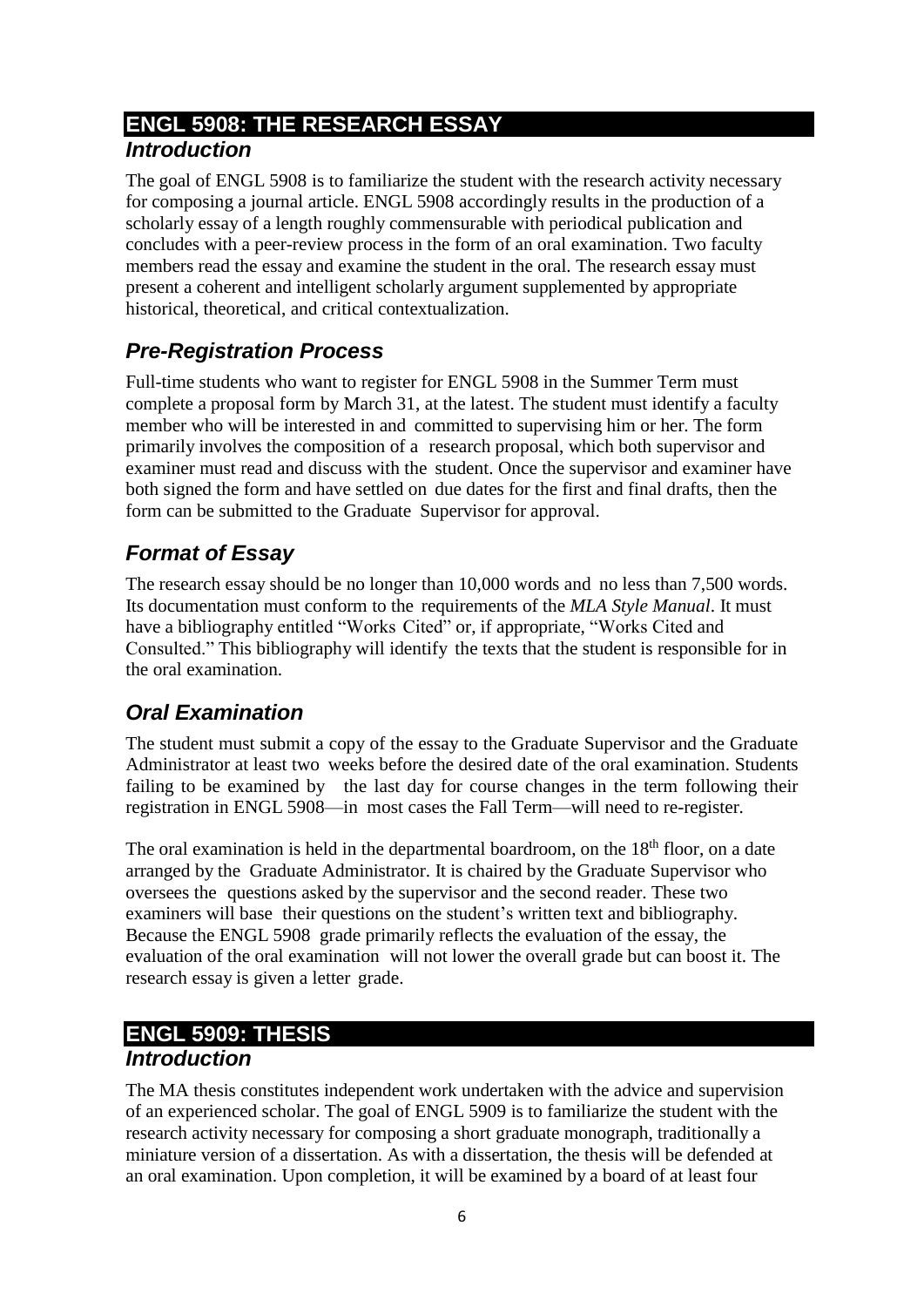# <span id="page-8-0"></span>**ENGL 5908: THE RESEARCH ESSAY**

## <span id="page-8-1"></span>*Introduction*

The goal of ENGL 5908 is to familiarize the student with the research activity necessary for composing a journal article. ENGL 5908 accordingly results in the production of a scholarly essay of a length roughly commensurable with periodical publication and concludes with a peer-review process in the form of an oral examination. Two faculty members read the essay and examine the student in the oral. The research essay must present a coherent and intelligent scholarly argument supplemented by appropriate historical, theoretical, and critical contextualization.

## <span id="page-8-2"></span>*Pre-Registration Process*

Full-time students who want to register for ENGL 5908 in the Summer Term must complete a proposal form by March 31, at the latest. The student must identify a faculty member who will be interested in and committed to supervising him or her. The form primarily involves the composition of a research proposal, which both supervisor and examiner must read and discuss with the student. Once the supervisor and examiner have both signed the form and have settled on due dates for the first and final drafts, then the form can be submitted to the Graduate Supervisor for approval.

## <span id="page-8-3"></span>*Format of Essay*

The research essay should be no longer than 10,000 words and no less than 7,500 words. Its documentation must conform to the requirements of the *MLA Style Manual*. It must have a bibliography entitled "Works Cited" or, if appropriate, "Works Cited and Consulted." This bibliography will identify the texts that the student is responsible for in the oral examination.

## <span id="page-8-4"></span>*Oral Examination*

The student must submit a copy of the essay to the Graduate Supervisor and the Graduate Administrator at least two weeks before the desired date of the oral examination. Students failing to be examined by the last day for course changes in the term following their registration in ENGL 5908—in most cases the Fall Term—will need to re-register.

The oral examination is held in the departmental boardroom, on the  $18<sup>th</sup>$  floor, on a date arranged by the Graduate Administrator. It is chaired by the Graduate Supervisor who oversees the questions asked by the supervisor and the second reader. These two examiners will base their questions on the student's written text and bibliography. Because the ENGL 5908 grade primarily reflects the evaluation of the essay, the evaluation of the oral examination will not lower the overall grade but can boost it. The research essay is given a letter grade.

## <span id="page-8-6"></span><span id="page-8-5"></span>**ENGL 5909: THESIS** *Introduction*

The MA thesis constitutes independent work undertaken with the advice and supervision of an experienced scholar. The goal of ENGL 5909 is to familiarize the student with the research activity necessary for composing a short graduate monograph, traditionally a miniature version of a dissertation. As with a dissertation, the thesis will be defended at an oral examination. Upon completion, it will be examined by a board of at least four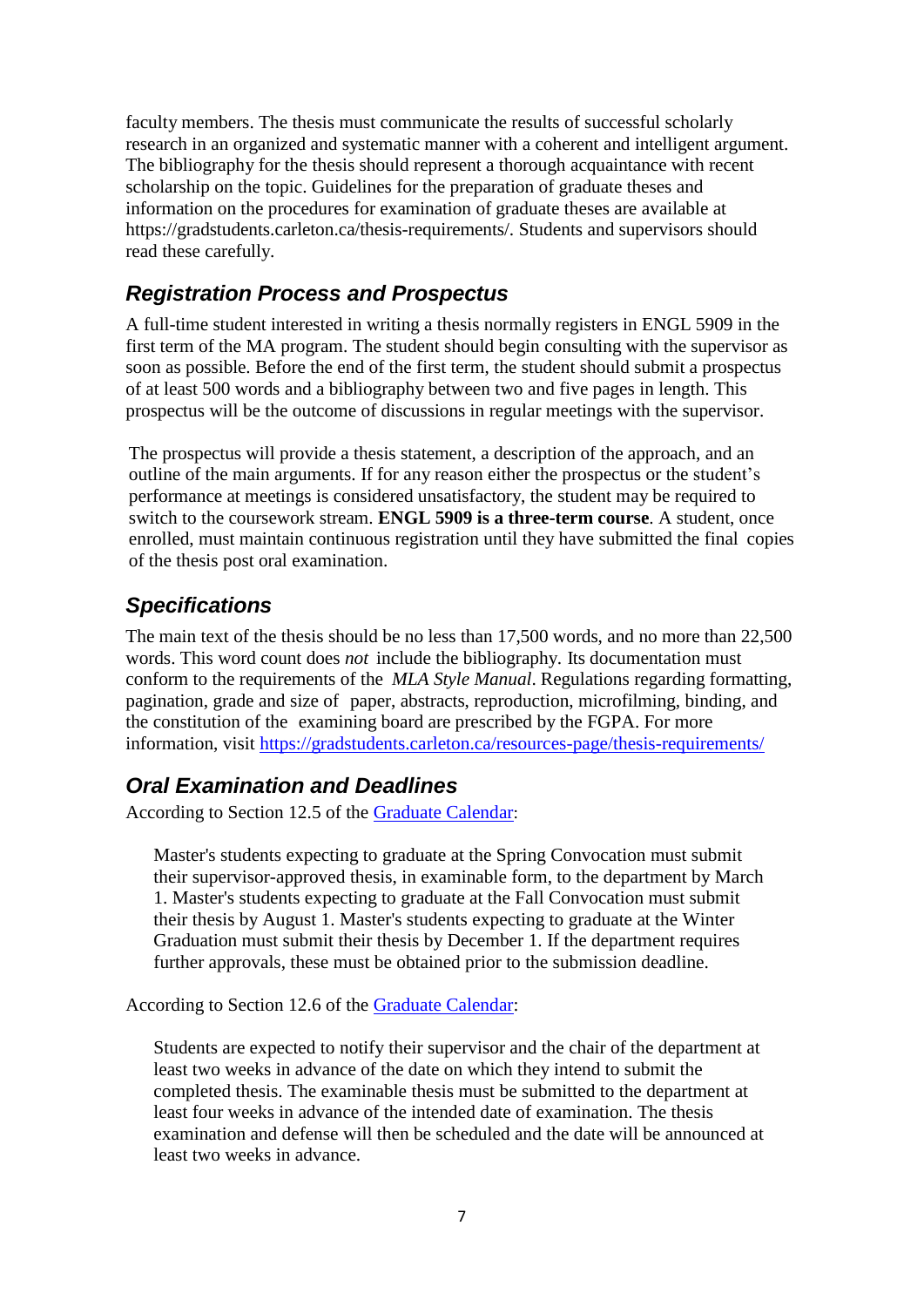faculty members. The thesis must communicate the results of successful scholarly research in an organized and systematic manner with a coherent and intelligent argument. The bibliography for the thesis should represent a thorough acquaintance with recent scholarship on the topic. Guidelines for the preparation of graduate theses and information on the procedures for examination of graduate theses are available at https://gradstudents.carleton.ca/thesis-requirements/. Students and supervisors should read these carefully.

### <span id="page-9-0"></span>*Registration Process and Prospectus*

A full-time student interested in writing a thesis normally registers in ENGL 5909 in the first term of the MA program. The student should begin consulting with the supervisor as soon as possible. Before the end of the first term, the student should submit a prospectus of at least 500 words and a bibliography between two and five pages in length. This prospectus will be the outcome of discussions in regular meetings with the supervisor.

The prospectus will provide a thesis statement, a description of the approach, and an outline of the main arguments. If for any reason either the prospectus or the student's performance at meetings is considered unsatisfactory, the student may be required to switch to the coursework stream. **ENGL 5909 is a three-term course**. A student, once enrolled, must maintain continuous registration until they have submitted the final copies of the thesis post oral examination.

## <span id="page-9-1"></span>*Specifications*

The main text of the thesis should be no less than 17,500 words, and no more than 22,500 words. This word count does *not* include the bibliography. Its documentation must conform to the requirements of the *MLA Style Manual*. Regulations regarding formatting, pagination, grade and size of paper, abstracts, reproduction, microfilming, binding, and the constitution of the examining board are prescribed by the FGPA. For more information, visit <https://gradstudents.carleton.ca/resources-page/thesis-requirements/>

#### <span id="page-9-2"></span>*Oral Examination and Deadlines*

According to Section 12.5 of the [Graduate Calendar](https://calendar.carleton.ca/grad/gradregulations/):

Master's students expecting to graduate at the Spring Convocation must submit their supervisor-approved thesis, in examinable form, to the department by March 1. Master's students expecting to graduate at the Fall Convocation must submit their thesis by August 1. Master's students expecting to graduate at the Winter Graduation must submit their thesis by December 1. If the department requires further approvals, these must be obtained prior to the submission deadline.

According to Section 12.6 of the [Graduate Calendar:](https://calendar.carleton.ca/grad/gradregulations/)

Students are expected to notify their supervisor and the chair of the department at least two weeks in advance of the date on which they intend to submit the completed thesis. The examinable thesis must be submitted to the department at least four weeks in advance of the intended date of examination. The thesis examination and defense will then be scheduled and the date will be announced at least two weeks in advance.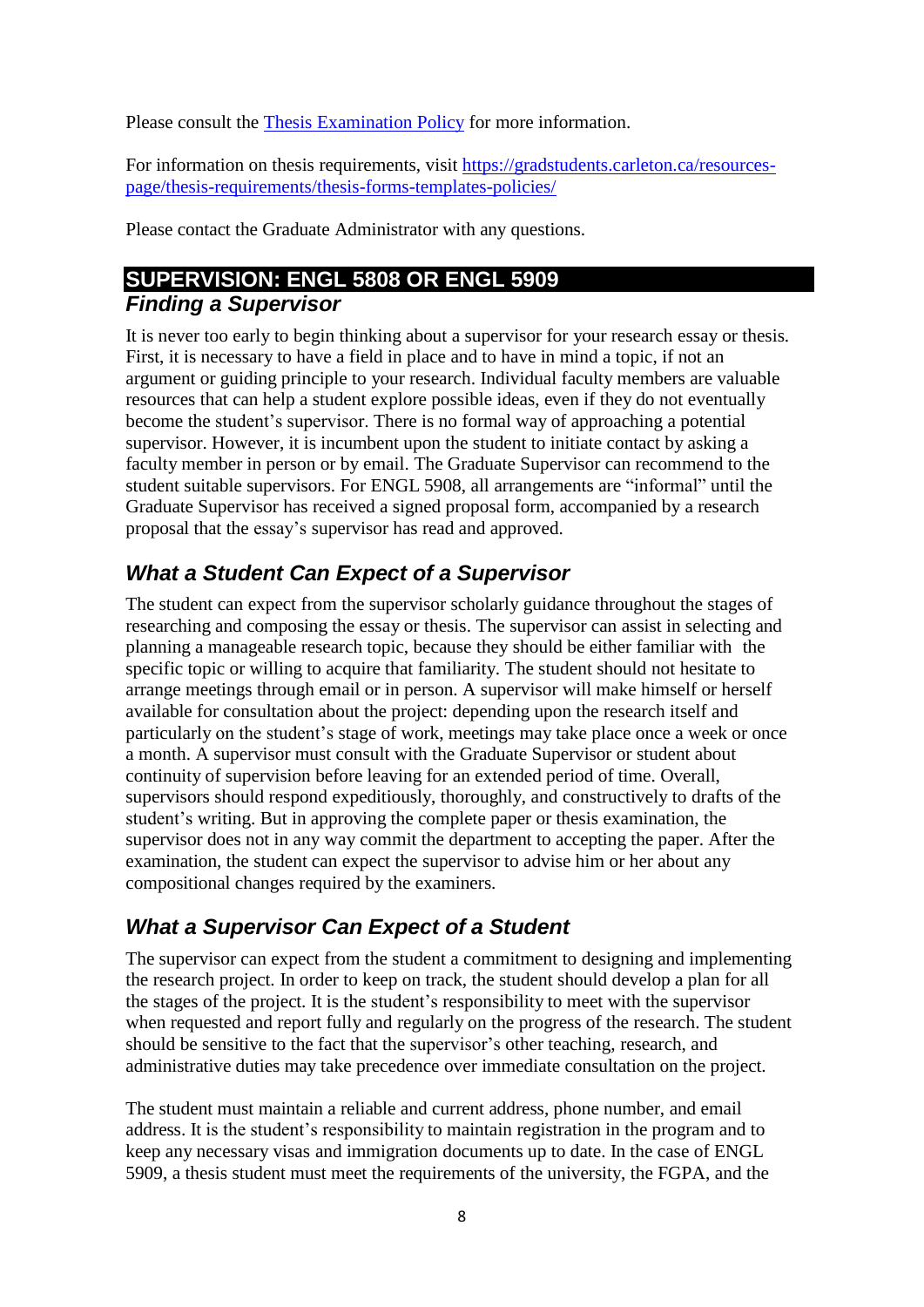Please consult the [Thesis Examination Policy](https://gradstudents.carleton.ca/wp-content/uploads/Thesis-Examination-Policy.pdf) for more information.

For information on thesis requirements, visit [https://gradstudents.carleton.ca/resources](https://gradstudents.carleton.ca/resources-page/thesis-requirements/thesis-forms-templates-policies/)[page/thesis-requirements/thesis-forms-templates-policies/](https://gradstudents.carleton.ca/resources-page/thesis-requirements/thesis-forms-templates-policies/)

Please contact the Graduate Administrator with any questions.

## <span id="page-10-1"></span><span id="page-10-0"></span>**SUPERVISION: ENGL 5808 OR ENGL 5909** *Finding a Supervisor*

It is never too early to begin thinking about a supervisor for your research essay or thesis. First, it is necessary to have a field in place and to have in mind a topic, if not an argument or guiding principle to your research. Individual faculty members are valuable resources that can help a student explore possible ideas, even if they do not eventually become the student's supervisor. There is no formal way of approaching a potential supervisor. However, it is incumbent upon the student to initiate contact by asking a faculty member in person or by email. The Graduate Supervisor can recommend to the student suitable supervisors. For ENGL 5908, all arrangements are "informal" until the Graduate Supervisor has received a signed proposal form, accompanied by a research proposal that the essay's supervisor has read and approved.

## <span id="page-10-2"></span>*What a Student Can Expect of a Supervisor*

The student can expect from the supervisor scholarly guidance throughout the stages of researching and composing the essay or thesis. The supervisor can assist in selecting and planning a manageable research topic, because they should be either familiar with the specific topic or willing to acquire that familiarity. The student should not hesitate to arrange meetings through email or in person. A supervisor will make himself or herself available for consultation about the project: depending upon the research itself and particularly on the student's stage of work, meetings may take place once a week or once a month. A supervisor must consult with the Graduate Supervisor or student about continuity of supervision before leaving for an extended period of time. Overall, supervisors should respond expeditiously, thoroughly, and constructively to drafts of the student's writing. But in approving the complete paper or thesis examination, the supervisor does not in any way commit the department to accepting the paper. After the examination, the student can expect the supervisor to advise him or her about any compositional changes required by the examiners.

## <span id="page-10-3"></span>*What a Supervisor Can Expect of a Student*

The supervisor can expect from the student a commitment to designing and implementing the research project. In order to keep on track, the student should develop a plan for all the stages of the project. It is the student's responsibility to meet with the supervisor when requested and report fully and regularly on the progress of the research. The student should be sensitive to the fact that the supervisor's other teaching, research, and administrative duties may take precedence over immediate consultation on the project.

The student must maintain a reliable and current address, phone number, and email address. It is the student's responsibility to maintain registration in the program and to keep any necessary visas and immigration documents up to date. In the case of ENGL 5909, a thesis student must meet the requirements of the university, the FGPA, and the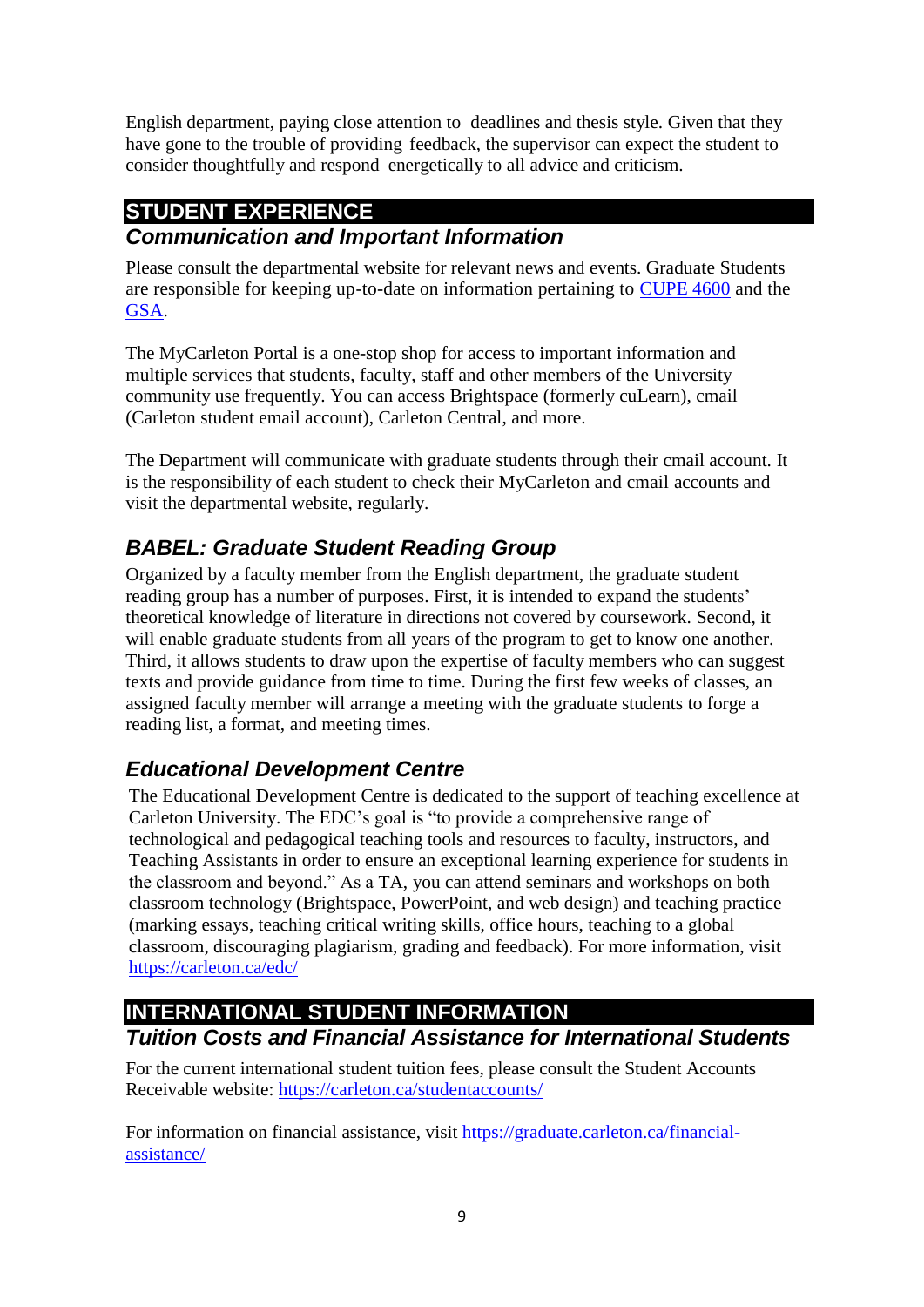English department, paying close attention to deadlines and thesis style. Given that they have gone to the trouble of providing feedback, the supervisor can expect the student to consider thoughtfully and respond energetically to all advice and criticism.

# <span id="page-11-0"></span>**STUDENT EXPERIENCE**

## <span id="page-11-1"></span>*Communication and Important Information*

Please consult the departmental website for relevant news and events. Graduate Students are responsible for keeping up-to-date on information pertaining to [CUPE 4600](https://www.cupe4600.ca/) and the [GSA.](https://gsacarleton.ca/)

The MyCarleton Portal is a one-stop shop for access to important information and multiple services that students, faculty, staff and other members of the University community use frequently. You can access Brightspace (formerly cuLearn), cmail (Carleton student email account), Carleton Central, and more.

The Department will communicate with graduate students through their cmail account. It is the responsibility of each student to check their MyCarleton and cmail accounts and visit the departmental website, regularly.

## <span id="page-11-2"></span>*BABEL: Graduate Student Reading Group*

Organized by a faculty member from the English department, the graduate student reading group has a number of purposes. First, it is intended to expand the students' theoretical knowledge of literature in directions not covered by coursework. Second, it will enable graduate students from all years of the program to get to know one another. Third, it allows students to draw upon the expertise of faculty members who can suggest texts and provide guidance from time to time. During the first few weeks of classes, an assigned faculty member will arrange a meeting with the graduate students to forge a reading list, a format, and meeting times.

## <span id="page-11-3"></span>*Educational Development Centre*

The Educational Development Centre is dedicated to the support of teaching excellence at Carleton University. The EDC's goal is "to provide a comprehensive range of technological and pedagogical teaching tools and resources to faculty, instructors, and Teaching Assistants in order to ensure an exceptional learning experience for students in the classroom and beyond." As a TA, you can attend seminars and workshops on both classroom technology (Brightspace, PowerPoint, and web design) and teaching practice (marking essays, teaching critical writing skills, office hours, teaching to a global classroom, discouraging plagiarism, grading and feedback). For more information, visit <https://carleton.ca/edc/>

## <span id="page-11-5"></span><span id="page-11-4"></span>**INTERNATIONAL STUDENT INFORMATION** *Tuition Costs and Financial Assistance for International Students*

For the current international student tuition fees, please consult the Student Accounts Receivable website: <https://carleton.ca/studentaccounts/>

For information on financial assistance, visit [https://graduate.carleton.ca/financial](https://graduate.carleton.ca/financial-assistance/)[assistance/](https://graduate.carleton.ca/financial-assistance/)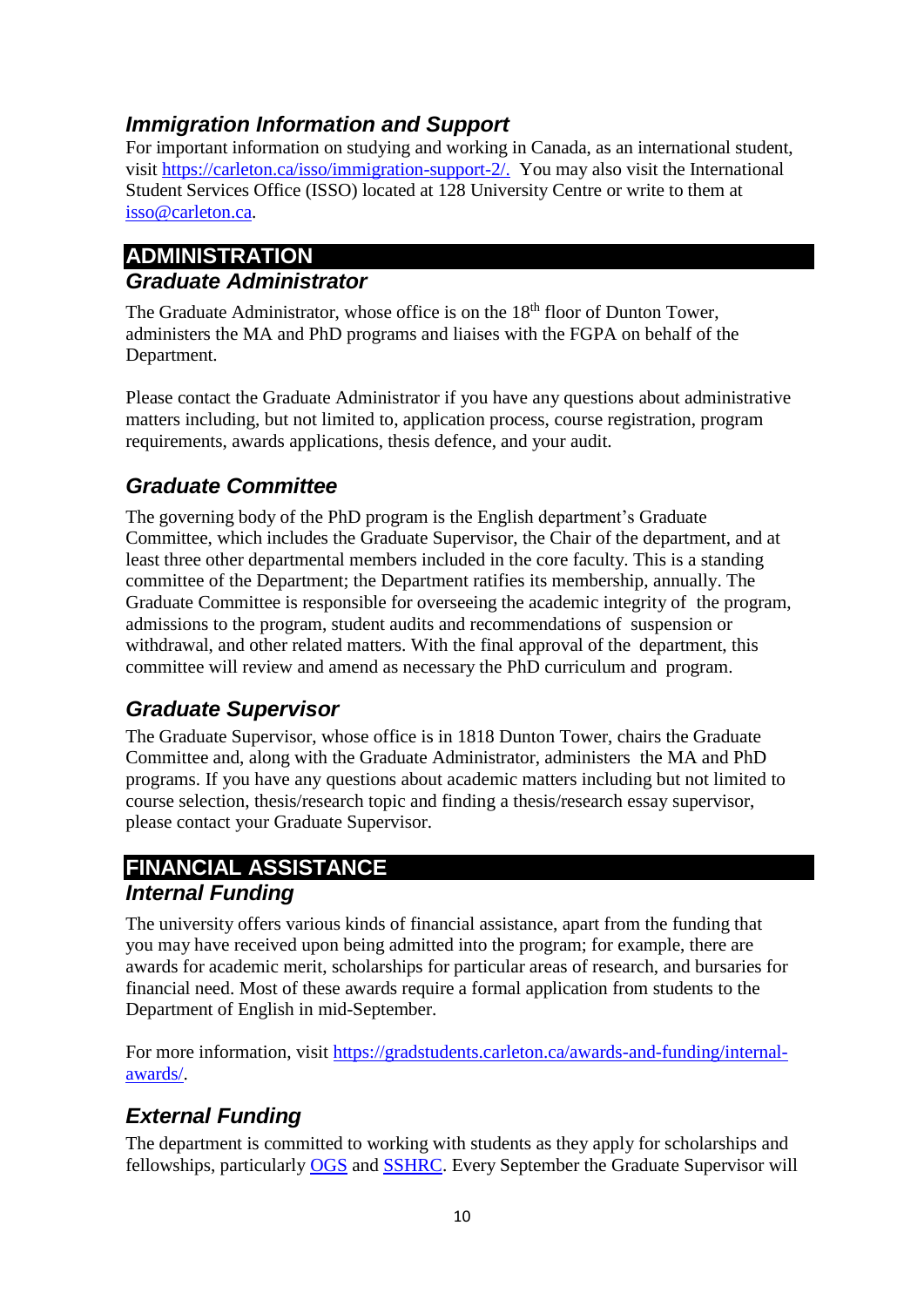## <span id="page-12-0"></span>*Immigration Information and Support*

For important information on studying and working in Canada, as an international student, visit [https://carleton.ca/isso/immigration-support-2/.](https://carleton.ca/isso/immigration-support-2/) You may also visit the International Student Services Office (ISSO) located at 128 University Centre or write to them at [isso@carleton.ca.](mailto:isso@carleton.ca)

## <span id="page-12-2"></span><span id="page-12-1"></span>**ADMINISTRATION** *Graduate Administrator*

The Graduate Administrator, whose office is on the 18<sup>th</sup> floor of Dunton Tower, administers the MA and PhD programs and liaises with the FGPA on behalf of the Department.

Please contact the Graduate Administrator if you have any questions about administrative matters including, but not limited to, application process, course registration, program requirements, awards applications, thesis defence, and your audit.

## <span id="page-12-3"></span>*Graduate Committee*

The governing body of the PhD program is the English department's Graduate Committee, which includes the Graduate Supervisor, the Chair of the department, and at least three other departmental members included in the core faculty. This is a standing committee of the Department; the Department ratifies its membership, annually. The Graduate Committee is responsible for overseeing the academic integrity of the program, admissions to the program, student audits and recommendations of suspension or withdrawal, and other related matters. With the final approval of the department, this committee will review and amend as necessary the PhD curriculum and program.

## <span id="page-12-4"></span>*Graduate Supervisor*

The Graduate Supervisor, whose office is in 1818 Dunton Tower, chairs the Graduate Committee and, along with the Graduate Administrator, administers the MA and PhD programs. If you have any questions about academic matters including but not limited to course selection, thesis/research topic and finding a thesis/research essay supervisor, please contact your Graduate Supervisor.

#### <span id="page-12-6"></span><span id="page-12-5"></span>**FINANCIAL ASSISTANCE** *Internal Funding*

The university offers various kinds of financial assistance, apart from the funding that you may have received upon being admitted into the program; for example, there are awards for academic merit, scholarships for particular areas of research, and bursaries for financial need. Most of these awards require a formal application from students to the Department of English in mid-September.

For more information, visit [https://gradstudents.carleton.ca/awards-and-funding/internal](https://gradstudents.carleton.ca/awards-and-funding/internal-awards/)[awards/.](https://gradstudents.carleton.ca/awards-and-funding/internal-awards/)

## <span id="page-12-7"></span>*External Funding*

The department is committed to working with students as they apply for scholarships and fellowships, particularly [OGS](https://gradstudents.carleton.ca/awards-and-funding/external-awards/ogs/) and [SSHRC.](https://gradstudents.carleton.ca/awards-and-funding/external-awards/sshrc/) Every September the Graduate Supervisor will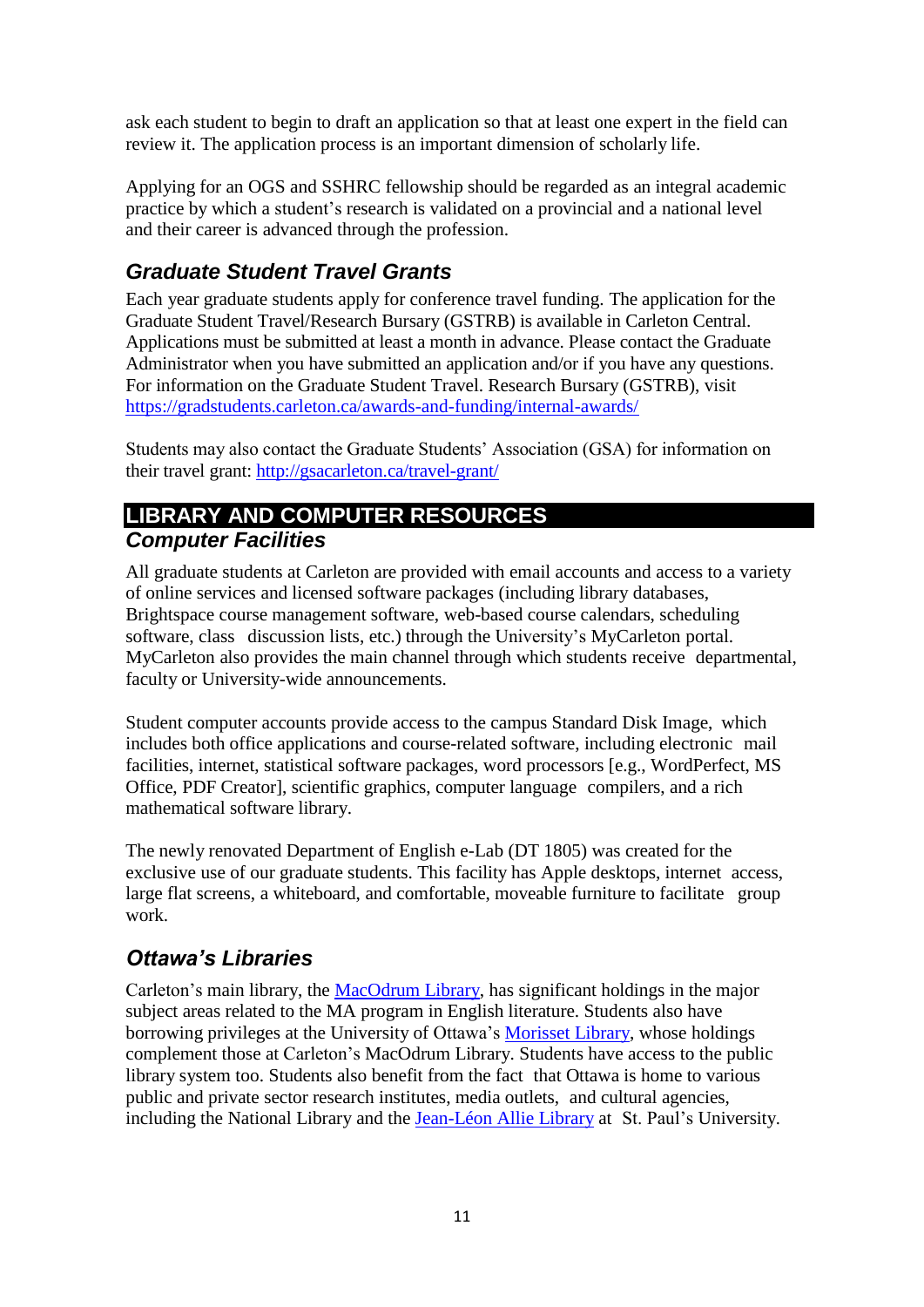ask each student to begin to draft an application so that at least one expert in the field can review it. The application process is an important dimension of scholarly life.

Applying for an OGS and SSHRC fellowship should be regarded as an integral academic practice by which a student's research is validated on a provincial and a national level and their career is advanced through the profession.

## <span id="page-13-0"></span>*Graduate Student Travel Grants*

Each year graduate students apply for conference travel funding. The application for the Graduate Student Travel/Research Bursary (GSTRB) is available in Carleton Central. Applications must be submitted at least a month in advance. Please contact the Graduate Administrator when you have submitted an application and/or if you have any questions. For information on the Graduate Student Travel. Research Bursary (GSTRB), visit <https://gradstudents.carleton.ca/awards-and-funding/internal-awards/>

Students may also contact the Graduate Students' Association (GSA) for information on their travel grant:<http://gsacarleton.ca/travel-grant/>

## <span id="page-13-2"></span><span id="page-13-1"></span>**LIBRARY AND COMPUTER RESOURCES** *Computer Facilities*

All graduate students at Carleton are provided with email accounts and access to a variety of online services and licensed software packages (including library databases, Brightspace course management software, web-based course calendars, scheduling software, class discussion lists, etc.) through the University's MyCarleton portal. MyCarleton also provides the main channel through which students receive departmental, faculty or University-wide announcements.

Student computer accounts provide access to the campus Standard Disk Image, which includes both office applications and course-related software, including electronic mail facilities, internet, statistical software packages, word processors [e.g., WordPerfect, MS Office, PDF Creator], scientific graphics, computer language compilers, and a rich mathematical software library.

The newly renovated Department of English e-Lab (DT 1805) was created for the exclusive use of our graduate students. This facility has Apple desktops, internet access, large flat screens, a whiteboard, and comfortable, moveable furniture to facilitate group work.

## <span id="page-13-3"></span>*Ottawa's Libraries*

Carleton's main library, the [MacOdrum](https://library.carleton.ca/) Library, has significant holdings in the major subject areas related to the MA program in English literature. Students also have borrowing privileges at the University of Ottawa's [Morisset](https://biblio.uottawa.ca/en) Library, whose holdings complement those at Carleton's MacOdrum Library. Students have access to the public library system too. Students also benefit from the fact that Ottawa is home to various public and private sector research institutes, media outlets, and cultural agencies, including the National Library and the [Jean-Léon](https://ustpaul.ca/jean-leon-allie-omi-library.php) Allie Library at St. Paul's University.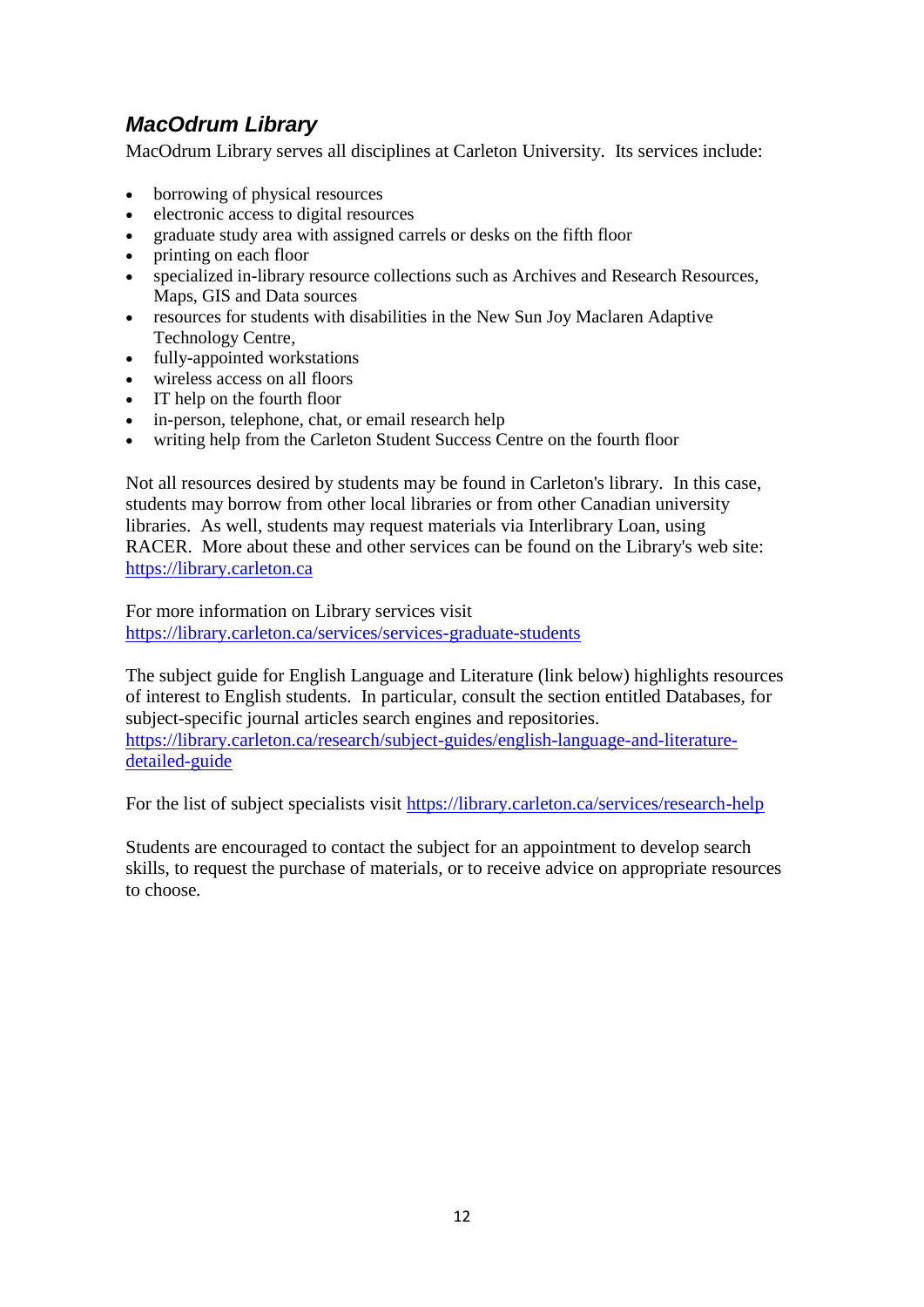## <span id="page-14-0"></span>*MacOdrum Library*

MacOdrum Library serves all disciplines at Carleton University. Its services include:

- borrowing of physical resources
- electronic access to digital resources
- graduate study area with assigned carrels or desks on the fifth floor
- printing on each floor
- specialized in-library resource collections such as Archives and Research Resources, Maps, GIS and Data sources
- resources for students with disabilities in the New Sun Joy Maclaren Adaptive Technology Centre,
- fully-appointed workstations
- wireless access on all floors
- IT help on the fourth floor
- in-person, telephone, chat, or email research help
- writing help from the Carleton Student Success Centre on the fourth floor

Not all resources desired by students may be found in Carleton's library. In this case, students may borrow from other local libraries or from other Canadian university libraries. As well, students may request materials via Interlibrary Loan, using RACER. More about these and other services can be found on the Library's web site: [https://library.carleton.ca](https://library.carleton.ca/)

For more information on Library services visit <https://library.carleton.ca/services/services-graduate-students>

The subject guide for English Language and Literature (link below) highlights resources of interest to English students. In particular, consult the section entitled Databases, for subject-specific journal articles search engines and repositories. [https://library.carleton.ca/research/subject-guides/english-language-and-literature](https://library.carleton.ca/research/subject-guides/english-language-and-literature-detailed-guide)[detailed-guide](https://library.carleton.ca/research/subject-guides/english-language-and-literature-detailed-guide)

For the list of subject specialists visit<https://library.carleton.ca/services/research-help>

Students are encouraged to contact the subject for an appointment to develop search skills, to request the purchase of materials, or to receive advice on appropriate resources to choose*.*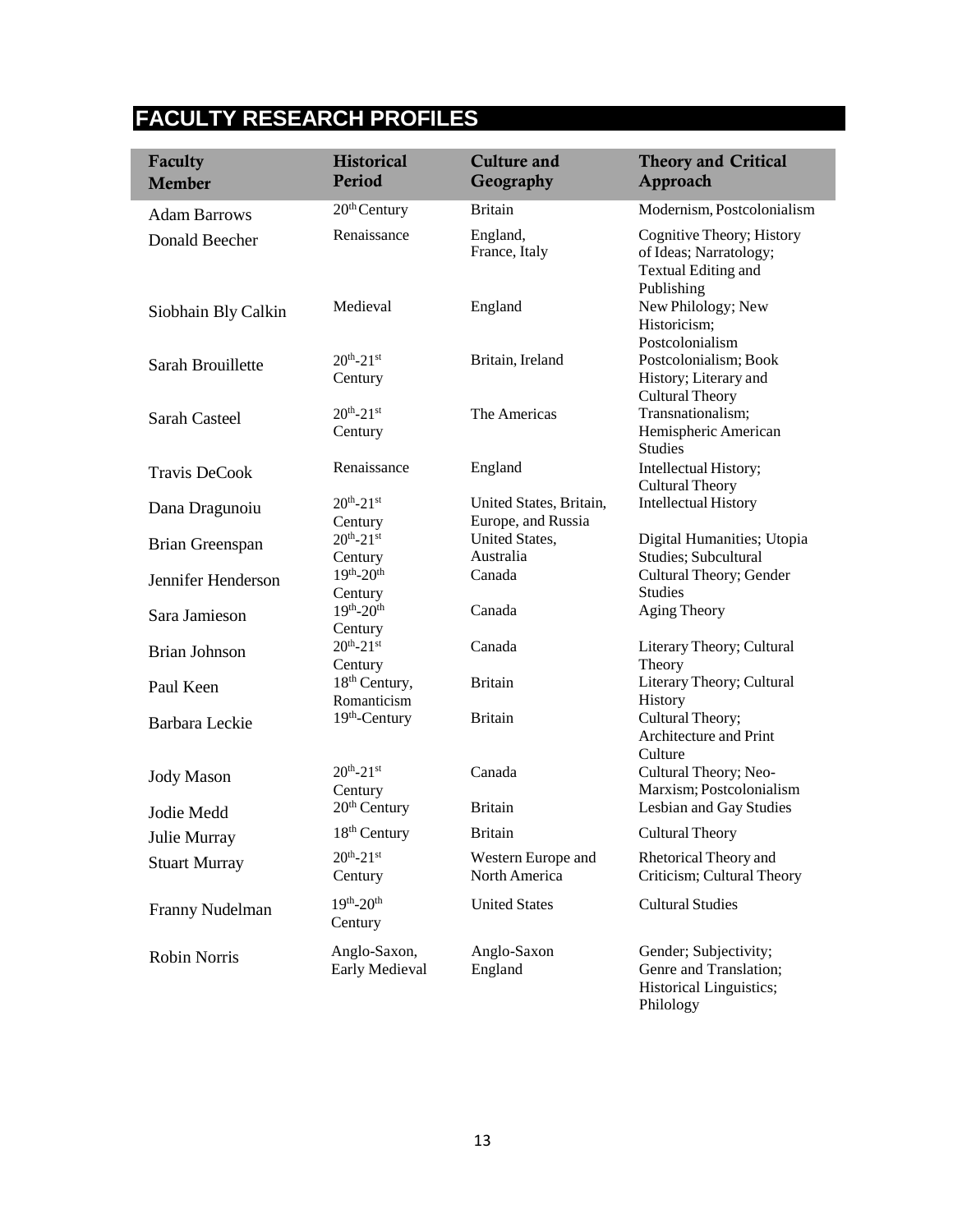## **FACULTY RESEARCH PROFILES**

<span id="page-15-0"></span>

| Faculty<br><b>Member</b> | <b>Historical</b><br>Period              | <b>Culture and</b><br>Geography               | <b>Theory and Critical</b><br>Approach                                                   |
|--------------------------|------------------------------------------|-----------------------------------------------|------------------------------------------------------------------------------------------|
| <b>Adam Barrows</b>      | 20 <sup>th</sup> Century                 | <b>Britain</b>                                | Modernism, Postcolonialism                                                               |
| Donald Beecher           | Renaissance                              | England,<br>France, Italy                     | Cognitive Theory; History<br>of Ideas; Narratology;<br>Textual Editing and<br>Publishing |
| Siobhain Bly Calkin      | Medieval                                 | England                                       | New Philology; New<br>Historicism;<br>Postcolonialism                                    |
| Sarah Brouillette        | $20^{th} - 21^{st}$<br>Century           | Britain, Ireland                              | Postcolonialism; Book<br>History; Literary and<br><b>Cultural Theory</b>                 |
| Sarah Casteel            | $20^{th} - 21^{st}$<br>Century           | The Americas                                  | Transnationalism;<br>Hemispheric American<br><b>Studies</b>                              |
| <b>Travis DeCook</b>     | Renaissance                              | England                                       | Intellectual History;<br><b>Cultural Theory</b>                                          |
| Dana Dragunoiu           | $20^{th} - 21^{st}$<br>Century           | United States, Britain,<br>Europe, and Russia | <b>Intellectual History</b>                                                              |
| Brian Greenspan          | $20^{th} - 21^{st}$<br>Century           | United States,<br>Australia                   | Digital Humanities; Utopia<br>Studies; Subcultural                                       |
| Jennifer Henderson       | $19^{th} - 20^{th}$<br>Century           | Canada                                        | Cultural Theory; Gender<br><b>Studies</b>                                                |
| Sara Jamieson            | $19^{th} - 20^{th}$<br>Century           | Canada                                        | Aging Theory                                                                             |
| <b>Brian Johnson</b>     | $20^{th} - 21^{st}$<br>Century           | Canada                                        | Literary Theory; Cultural<br>Theory                                                      |
| Paul Keen                | 18 <sup>th</sup> Century,<br>Romanticism | <b>Britain</b>                                | Literary Theory; Cultural<br>History                                                     |
| Barbara Leckie           | 19th-Century                             | <b>Britain</b>                                | Cultural Theory;<br>Architecture and Print<br>Culture                                    |
| <b>Jody Mason</b>        | $20^{th} - 21^{st}$<br>Century           | Canada                                        | Cultural Theory; Neo-<br>Marxism; Postcolonialism                                        |
| Jodie Medd               | $20th$ Century                           | <b>Britain</b>                                | Lesbian and Gay Studies                                                                  |
| Julie Murray             | 18 <sup>th</sup> Century                 | <b>Britain</b>                                | <b>Cultural Theory</b>                                                                   |
| <b>Stuart Murray</b>     | $20^{th} - 21^{st}$<br>Century           | Western Europe and<br>North America           | Rhetorical Theory and<br>Criticism; Cultural Theory                                      |
| Franny Nudelman          | $19^{th} - 20^{th}$<br>Century           | <b>United States</b>                          | <b>Cultural Studies</b>                                                                  |
| <b>Robin Norris</b>      | Anglo-Saxon,<br>Early Medieval           | Anglo-Saxon<br>England                        | Gender; Subjectivity;<br>Genre and Translation;<br>Historical Linguistics;               |

Philology